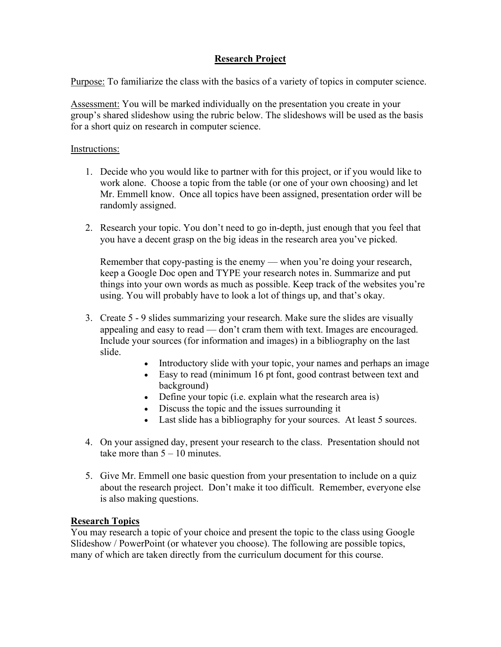## Research Project

Purpose: To familiarize the class with the basics of a variety of topics in computer science.

Assessment: You will be marked individually on the presentation you create in your group's shared slideshow using the rubric below. The slideshows will be used as the basis for a short quiz on research in computer science.

## Instructions:

- 1. Decide who you would like to partner with for this project, or if you would like to work alone. Choose a topic from the table (or one of your own choosing) and let Mr. Emmell know. Once all topics have been assigned, presentation order will be randomly assigned.
- 2. Research your topic. You don't need to go in-depth, just enough that you feel that you have a decent grasp on the big ideas in the research area you've picked.

Remember that copy-pasting is the enemy — when you're doing your research, keep a Google Doc open and TYPE your research notes in. Summarize and put things into your own words as much as possible. Keep track of the websites you're using. You will probably have to look a lot of things up, and that's okay.

- 3. Create 5 9 slides summarizing your research. Make sure the slides are visually appealing and easy to read — don't cram them with text. Images are encouraged. Include your sources (for information and images) in a bibliography on the last slide.
	- Introductory slide with your topic, your names and perhaps an image
	- Easy to read (minimum 16 pt font, good contrast between text and background)
	- Define your topic (i.e. explain what the research area is)
	- Discuss the topic and the issues surrounding it
	- Last slide has a bibliography for your sources. At least 5 sources.
- 4. On your assigned day, present your research to the class. Presentation should not take more than  $5 - 10$  minutes.
- 5. Give Mr. Emmell one basic question from your presentation to include on a quiz about the research project. Don't make it too difficult. Remember, everyone else is also making questions.

## Research Topics

You may research a topic of your choice and present the topic to the class using Google Slideshow / PowerPoint (or whatever you choose). The following are possible topics, many of which are taken directly from the curriculum document for this course.